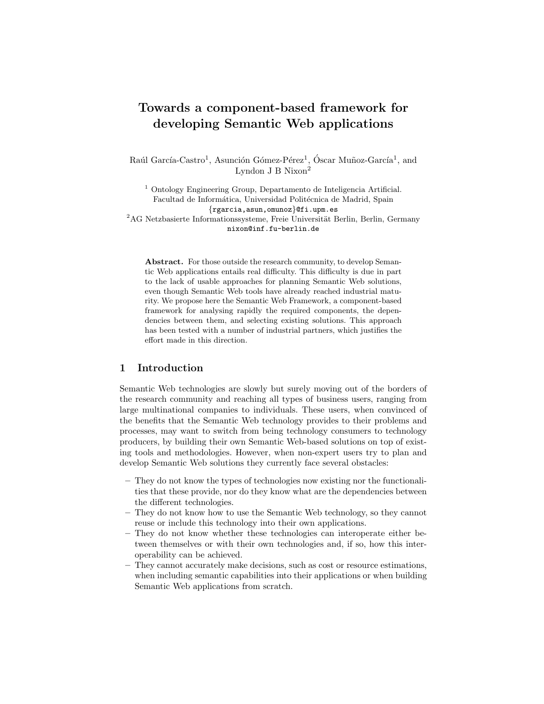# Towards a component-based framework for developing Semantic Web applications

Raúl García-Castro<sup>1</sup>, Asunción Gómez-Pérez<sup>1</sup>, Óscar Muñoz-García<sup>1</sup>, and Lyndon J B Nixon<sup>2</sup>

<sup>1</sup> Ontology Engineering Group, Departamento de Inteligencia Artificial. Facultad de Informática, Universidad Politécnica de Madrid, Spain {rgarcia,asun,omunoz}@fi.upm.es  $2$ AG Netzbasierte Informationssysteme, Freie Universität Berlin, Berlin, Germany nixon@inf.fu-berlin.de

Abstract. For those outside the research community, to develop Semantic Web applications entails real difficulty. This difficulty is due in part to the lack of usable approaches for planning Semantic Web solutions, even though Semantic Web tools have already reached industrial maturity. We propose here the Semantic Web Framework, a component-based framework for analysing rapidly the required components, the dependencies between them, and selecting existing solutions. This approach has been tested with a number of industrial partners, which justifies the effort made in this direction.

## 1 Introduction

Semantic Web technologies are slowly but surely moving out of the borders of the research community and reaching all types of business users, ranging from large multinational companies to individuals. These users, when convinced of the benefits that the Semantic Web technology provides to their problems and processes, may want to switch from being technology consumers to technology producers, by building their own Semantic Web-based solutions on top of existing tools and methodologies. However, when non-expert users try to plan and develop Semantic Web solutions they currently face several obstacles:

- They do not know the types of technologies now existing nor the functionalities that these provide, nor do they know what are the dependencies between the different technologies.
- They do not know how to use the Semantic Web technology, so they cannot reuse or include this technology into their own applications.
- They do not know whether these technologies can interoperate either between themselves or with their own technologies and, if so, how this interoperability can be achieved.
- They cannot accurately make decisions, such as cost or resource estimations, when including semantic capabilities into their applications or when building Semantic Web applications from scratch.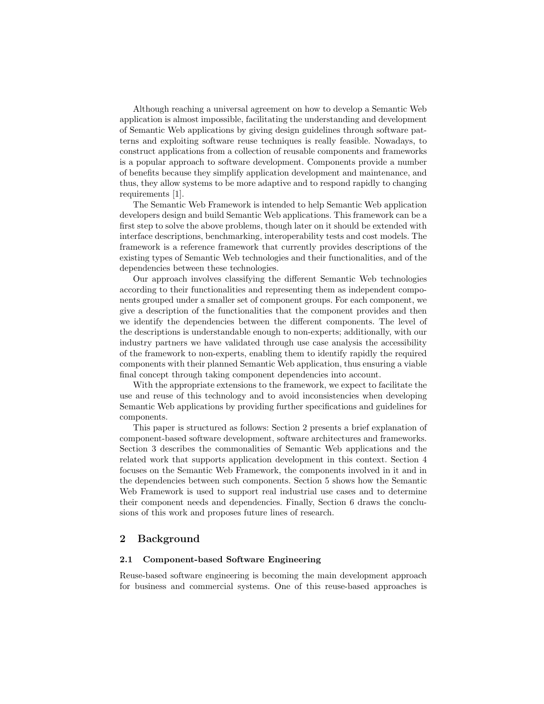Although reaching a universal agreement on how to develop a Semantic Web application is almost impossible, facilitating the understanding and development of Semantic Web applications by giving design guidelines through software patterns and exploiting software reuse techniques is really feasible. Nowadays, to construct applications from a collection of reusable components and frameworks is a popular approach to software development. Components provide a number of benefits because they simplify application development and maintenance, and thus, they allow systems to be more adaptive and to respond rapidly to changing requirements [1].

The Semantic Web Framework is intended to help Semantic Web application developers design and build Semantic Web applications. This framework can be a first step to solve the above problems, though later on it should be extended with interface descriptions, benchmarking, interoperability tests and cost models. The framework is a reference framework that currently provides descriptions of the existing types of Semantic Web technologies and their functionalities, and of the dependencies between these technologies.

Our approach involves classifying the different Semantic Web technologies according to their functionalities and representing them as independent components grouped under a smaller set of component groups. For each component, we give a description of the functionalities that the component provides and then we identify the dependencies between the different components. The level of the descriptions is understandable enough to non-experts; additionally, with our industry partners we have validated through use case analysis the accessibility of the framework to non-experts, enabling them to identify rapidly the required components with their planned Semantic Web application, thus ensuring a viable final concept through taking component dependencies into account.

With the appropriate extensions to the framework, we expect to facilitate the use and reuse of this technology and to avoid inconsistencies when developing Semantic Web applications by providing further specifications and guidelines for components.

This paper is structured as follows: Section 2 presents a brief explanation of component-based software development, software architectures and frameworks. Section 3 describes the commonalities of Semantic Web applications and the related work that supports application development in this context. Section 4 focuses on the Semantic Web Framework, the components involved in it and in the dependencies between such components. Section 5 shows how the Semantic Web Framework is used to support real industrial use cases and to determine their component needs and dependencies. Finally, Section 6 draws the conclusions of this work and proposes future lines of research.

# 2 Background

## 2.1 Component-based Software Engineering

Reuse-based software engineering is becoming the main development approach for business and commercial systems. One of this reuse-based approaches is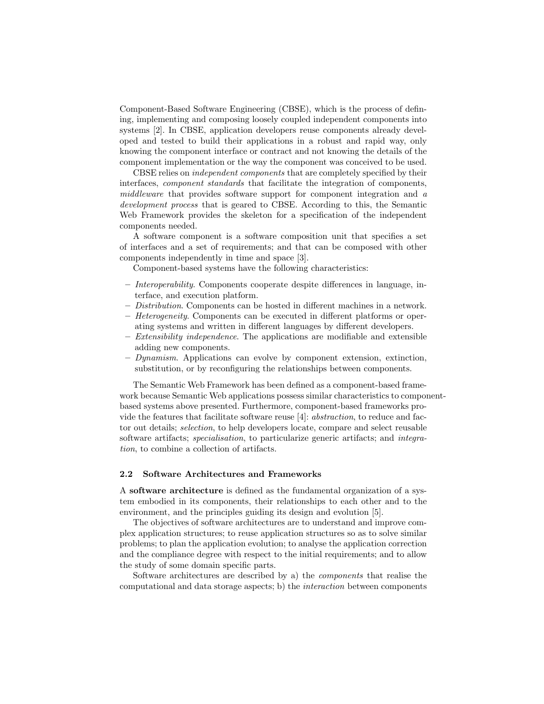Component-Based Software Engineering (CBSE), which is the process of defining, implementing and composing loosely coupled independent components into systems [2]. In CBSE, application developers reuse components already developed and tested to build their applications in a robust and rapid way, only knowing the component interface or contract and not knowing the details of the component implementation or the way the component was conceived to be used.

CBSE relies on independent components that are completely specified by their interfaces, component standards that facilitate the integration of components, middleware that provides software support for component integration and a development process that is geared to CBSE. According to this, the Semantic Web Framework provides the skeleton for a specification of the independent components needed.

A software component is a software composition unit that specifies a set of interfaces and a set of requirements; and that can be composed with other components independently in time and space [3].

Component-based systems have the following characteristics:

- Interoperability. Components cooperate despite differences in language, interface, and execution platform.
- $-$  *Distribution.* Components can be hosted in different machines in a network.
- Heterogeneity. Components can be executed in different platforms or operating systems and written in different languages by different developers.
- $-$  *Extensibility independence*. The applications are modifiable and extensible adding new components.
- $-$  *Dynamism.* Applications can evolve by component extension, extinction, substitution, or by reconfiguring the relationships between components.

The Semantic Web Framework has been defined as a component-based framework because Semantic Web applications possess similar characteristics to componentbased systems above presented. Furthermore, component-based frameworks provide the features that facilitate software reuse [4]: abstraction, to reduce and factor out details; selection, to help developers locate, compare and select reusable software artifacts; *specialisation*, to particularize generic artifacts; and *integra*tion, to combine a collection of artifacts.

## 2.2 Software Architectures and Frameworks

A software architecture is defined as the fundamental organization of a system embodied in its components, their relationships to each other and to the environment, and the principles guiding its design and evolution [5].

The objectives of software architectures are to understand and improve complex application structures; to reuse application structures so as to solve similar problems; to plan the application evolution; to analyse the application correction and the compliance degree with respect to the initial requirements; and to allow the study of some domain specific parts.

Software architectures are described by a) the components that realise the computational and data storage aspects; b) the interaction between components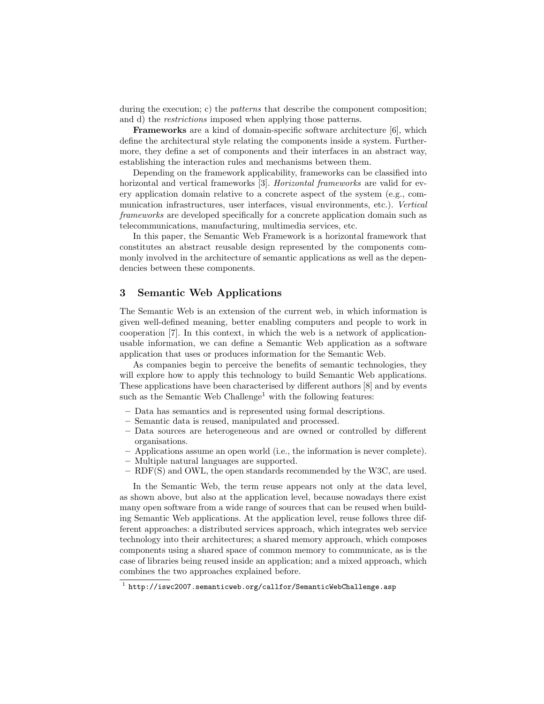during the execution; c) the *patterns* that describe the component composition; and d) the restrictions imposed when applying those patterns.

Frameworks are a kind of domain-specific software architecture [6], which define the architectural style relating the components inside a system. Furthermore, they define a set of components and their interfaces in an abstract way, establishing the interaction rules and mechanisms between them.

Depending on the framework applicability, frameworks can be classified into horizontal and vertical frameworks [3]. Horizontal frameworks are valid for every application domain relative to a concrete aspect of the system (e.g., communication infrastructures, user interfaces, visual environments, etc.). Vertical frameworks are developed specifically for a concrete application domain such as telecommunications, manufacturing, multimedia services, etc.

In this paper, the Semantic Web Framework is a horizontal framework that constitutes an abstract reusable design represented by the components commonly involved in the architecture of semantic applications as well as the dependencies between these components.

## 3 Semantic Web Applications

The Semantic Web is an extension of the current web, in which information is given well-defined meaning, better enabling computers and people to work in cooperation [7]. In this context, in which the web is a network of applicationusable information, we can define a Semantic Web application as a software application that uses or produces information for the Semantic Web.

As companies begin to perceive the benefits of semantic technologies, they will explore how to apply this technology to build Semantic Web applications. These applications have been characterised by different authors [8] and by events such as the Semantic Web Challenge<sup>1</sup> with the following features:

- Data has semantics and is represented using formal descriptions.
- Semantic data is reused, manipulated and processed.
- Data sources are heterogeneous and are owned or controlled by different organisations.
- Applications assume an open world (i.e., the information is never complete).
- Multiple natural languages are supported.
- RDF(S) and OWL, the open standards recommended by the W3C, are used.

In the Semantic Web, the term reuse appears not only at the data level, as shown above, but also at the application level, because nowadays there exist many open software from a wide range of sources that can be reused when building Semantic Web applications. At the application level, reuse follows three different approaches: a distributed services approach, which integrates web service technology into their architectures; a shared memory approach, which composes components using a shared space of common memory to communicate, as is the case of libraries being reused inside an application; and a mixed approach, which combines the two approaches explained before.

 $^{\rm 1}$  http://iswc2007.semanticweb.org/callfor/SemanticWebChallenge.asp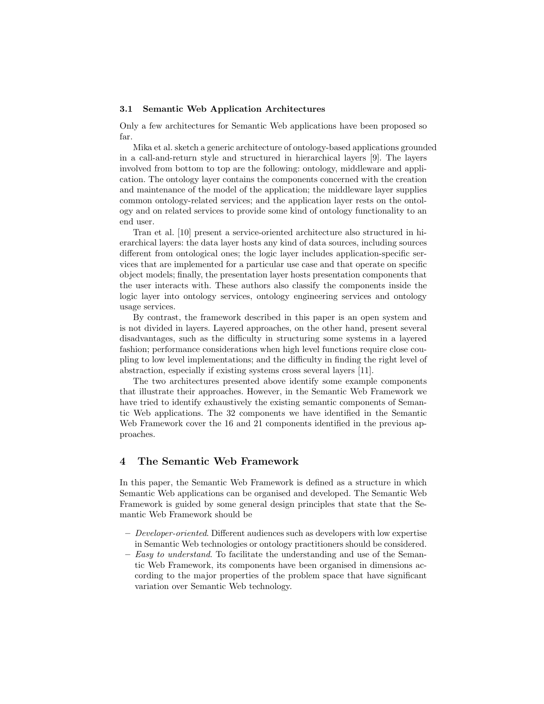#### 3.1 Semantic Web Application Architectures

Only a few architectures for Semantic Web applications have been proposed so far.

Mika et al. sketch a generic architecture of ontology-based applications grounded in a call-and-return style and structured in hierarchical layers [9]. The layers involved from bottom to top are the following: ontology, middleware and application. The ontology layer contains the components concerned with the creation and maintenance of the model of the application; the middleware layer supplies common ontology-related services; and the application layer rests on the ontology and on related services to provide some kind of ontology functionality to an end user.

Tran et al. [10] present a service-oriented architecture also structured in hierarchical layers: the data layer hosts any kind of data sources, including sources different from ontological ones; the logic layer includes application-specific services that are implemented for a particular use case and that operate on specific object models; finally, the presentation layer hosts presentation components that the user interacts with. These authors also classify the components inside the logic layer into ontology services, ontology engineering services and ontology usage services.

By contrast, the framework described in this paper is an open system and is not divided in layers. Layered approaches, on the other hand, present several disadvantages, such as the difficulty in structuring some systems in a layered fashion; performance considerations when high level functions require close coupling to low level implementations; and the difficulty in finding the right level of abstraction, especially if existing systems cross several layers [11].

The two architectures presented above identify some example components that illustrate their approaches. However, in the Semantic Web Framework we have tried to identify exhaustively the existing semantic components of Semantic Web applications. The 32 components we have identified in the Semantic Web Framework cover the 16 and 21 components identified in the previous approaches.

# 4 The Semantic Web Framework

In this paper, the Semantic Web Framework is defined as a structure in which Semantic Web applications can be organised and developed. The Semantic Web Framework is guided by some general design principles that state that the Semantic Web Framework should be

- Developer-oriented. Different audiences such as developers with low expertise in Semantic Web technologies or ontology practitioners should be considered.
- $-$  Easy to understand. To facilitate the understanding and use of the Semantic Web Framework, its components have been organised in dimensions according to the major properties of the problem space that have significant variation over Semantic Web technology.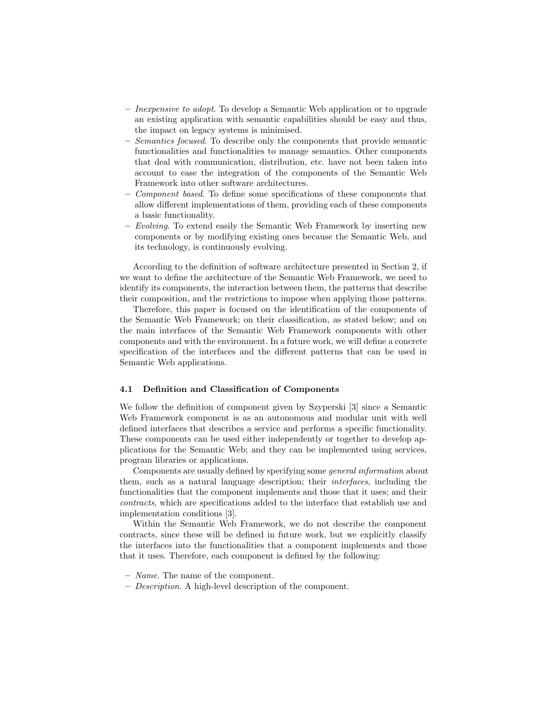- Inexpensive to adopt. To develop a Semantic Web application or to upgrade an existing application with semantic capabilities should be easy and thus, the impact on legacy systems is minimised.
- Semantics focused. To describe only the components that provide semantic functionalities and functionalities to manage semantics. Other components that deal with communication, distribution, etc. have not been taken into account to ease the integration of the components of the Semantic Web Framework into other software architectures.
- Component based. To define some specifications of these components that allow different implementations of them, providing each of these components a basic functionality.
- Evolving. To extend easily the Semantic Web Framework by inserting new components or by modifying existing ones because the Semantic Web, and its technology, is continuously evolving.

According to the definition of software architecture presented in Section 2, if we want to define the architecture of the Semantic Web Framework, we need to identify its components, the interaction between them, the patterns that describe their composition, and the restrictions to impose when applying those patterns.

Therefore, this paper is focused on the identification of the components of the Semantic Web Framework; on their classification, as stated below; and on the main interfaces of the Semantic Web Framework components with other components and with the environment. In a future work, we will define a concrete specification of the interfaces and the different patterns that can be used in Semantic Web applications.

#### 4.1 Definition and Classification of Components

We follow the definition of component given by Szyperski [3] since a Semantic Web Framework component is as an autonomous and modular unit with well defined interfaces that describes a service and performs a specific functionality. These components can be used either independently or together to develop applications for the Semantic Web; and they can be implemented using services, program libraries or applications.

Components are usually defined by specifying some general information about them, such as a natural language description; their interfaces, including the functionalities that the component implements and those that it uses; and their contracts, which are specifications added to the interface that establish use and implementation conditions [3].

Within the Semantic Web Framework, we do not describe the component contracts, since these will be defined in future work, but we explicitly classify the interfaces into the functionalities that a component implements and those that it uses. Therefore, each component is defined by the following:

- Name. The name of the component.
- Description. A high-level description of the component.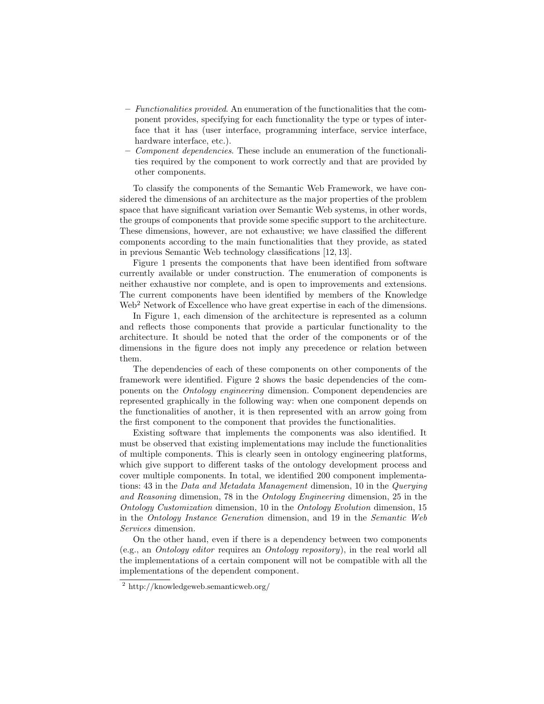- Functionalities provided. An enumeration of the functionalities that the component provides, specifying for each functionality the type or types of interface that it has (user interface, programming interface, service interface, hardware interface, etc.).
- Component dependencies. These include an enumeration of the functionalities required by the component to work correctly and that are provided by other components.

To classify the components of the Semantic Web Framework, we have considered the dimensions of an architecture as the major properties of the problem space that have significant variation over Semantic Web systems, in other words, the groups of components that provide some specific support to the architecture. These dimensions, however, are not exhaustive; we have classified the different components according to the main functionalities that they provide, as stated in previous Semantic Web technology classifications [12, 13].

Figure 1 presents the components that have been identified from software currently available or under construction. The enumeration of components is neither exhaustive nor complete, and is open to improvements and extensions. The current components have been identified by members of the Knowledge Web<sup>2</sup> Network of Excellence who have great expertise in each of the dimensions.

In Figure 1, each dimension of the architecture is represented as a column and reflects those components that provide a particular functionality to the architecture. It should be noted that the order of the components or of the dimensions in the figure does not imply any precedence or relation between them.

The dependencies of each of these components on other components of the framework were identified. Figure 2 shows the basic dependencies of the components on the Ontology engineering dimension. Component dependencies are represented graphically in the following way: when one component depends on the functionalities of another, it is then represented with an arrow going from the first component to the component that provides the functionalities.

Existing software that implements the components was also identified. It must be observed that existing implementations may include the functionalities of multiple components. This is clearly seen in ontology engineering platforms, which give support to different tasks of the ontology development process and cover multiple components. In total, we identified 200 component implementations: 43 in the Data and Metadata Management dimension, 10 in the Querying and Reasoning dimension, 78 in the Ontology Engineering dimension, 25 in the Ontology Customization dimension, 10 in the Ontology Evolution dimension, 15 in the Ontology Instance Generation dimension, and 19 in the Semantic Web Services dimension.

On the other hand, even if there is a dependency between two components (e.g., an Ontology editor requires an Ontology repository), in the real world all the implementations of a certain component will not be compatible with all the implementations of the dependent component.

<sup>2</sup> http://knowledgeweb.semanticweb.org/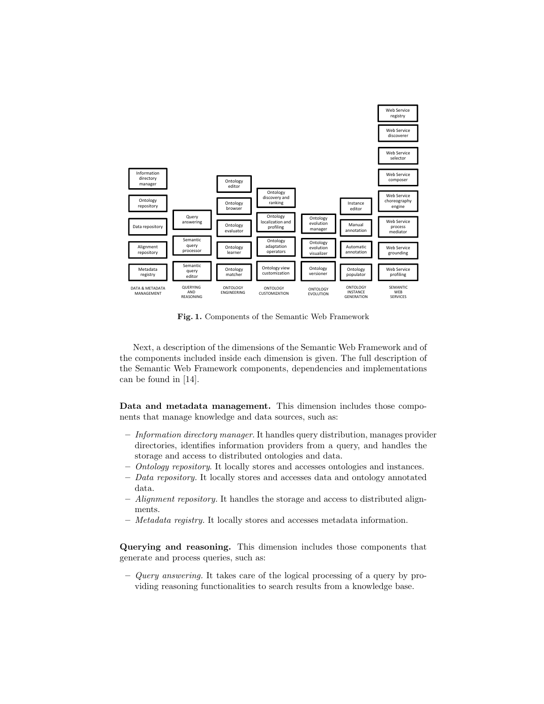

Fig. 1. Components of the Semantic Web Framework

Next, a description of the dimensions of the Semantic Web Framework and of the components included inside each dimension is given. The full description of the Semantic Web Framework components, dependencies and implementations can be found in [14].

Data and metadata management. This dimension includes those components that manage knowledge and data sources, such as:

- Information directory manager. It handles query distribution, manages provider directories, identifies information providers from a query, and handles the storage and access to distributed ontologies and data.
- Ontology repository. It locally stores and accesses ontologies and instances.
- Data repository. It locally stores and accesses data and ontology annotated data.
- Alignment repository. It handles the storage and access to distributed alignments.
- Metadata registry. It locally stores and accesses metadata information.

Querying and reasoning. This dimension includes those components that generate and process queries, such as:

– Query answering. It takes care of the logical processing of a query by providing reasoning functionalities to search results from a knowledge base.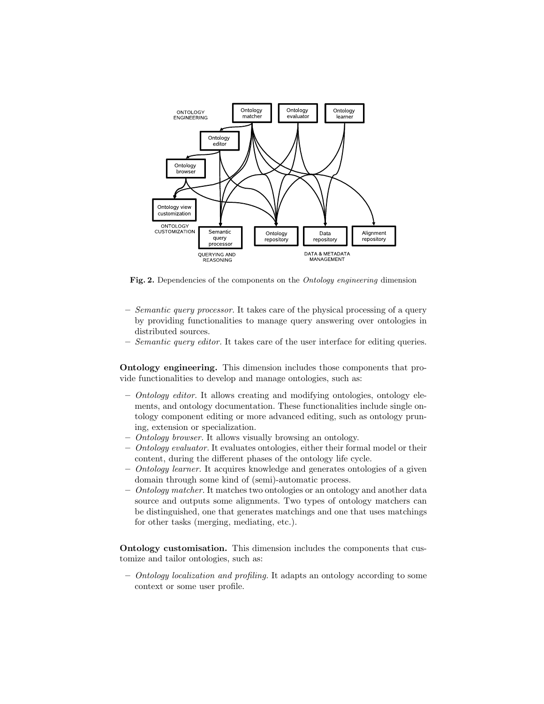

Fig. 2. Dependencies of the components on the Ontology engineering dimension

- $-$  Semantic query processor. It takes care of the physical processing of a query by providing functionalities to manage query answering over ontologies in distributed sources.
- Semantic query editor. It takes care of the user interface for editing queries.

Ontology engineering. This dimension includes those components that provide functionalities to develop and manage ontologies, such as:

- Ontology editor. It allows creating and modifying ontologies, ontology elements, and ontology documentation. These functionalities include single ontology component editing or more advanced editing, such as ontology pruning, extension or specialization.
- Ontology browser. It allows visually browsing an ontology.
- $-$  *Ontology evaluator.* It evaluates ontologies, either their formal model or their content, during the different phases of the ontology life cycle.
- Ontology learner. It acquires knowledge and generates ontologies of a given domain through some kind of (semi)-automatic process.
- $-$  *Ontology matcher.* It matches two ontologies or an ontology and another data source and outputs some alignments. Two types of ontology matchers can be distinguished, one that generates matchings and one that uses matchings for other tasks (merging, mediating, etc.).

Ontology customisation. This dimension includes the components that customize and tailor ontologies, such as:

– Ontology localization and profiling. It adapts an ontology according to some context or some user profile.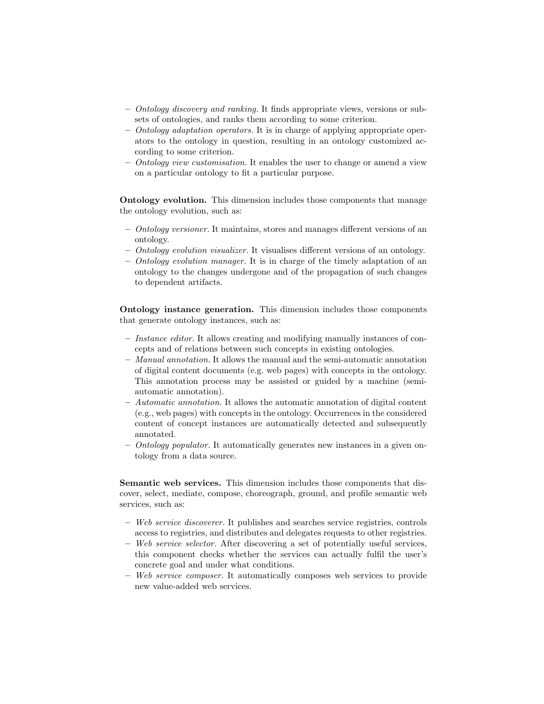- Ontology discovery and ranking. It finds appropriate views, versions or subsets of ontologies, and ranks them according to some criterion.
- Ontology adaptation operators. It is in charge of applying appropriate operators to the ontology in question, resulting in an ontology customized according to some criterion.
- $-$  *Ontology view customisation*. It enables the user to change or amend a view on a particular ontology to fit a particular purpose.

Ontology evolution. This dimension includes those components that manage the ontology evolution, such as:

- Ontology versioner. It maintains, stores and manages different versions of an ontology.
- $-$  *Ontology evolution visualizer.* It visualizes different versions of an ontology.
- $-$  *Ontology evolution manager.* It is in charge of the timely adaptation of an ontology to the changes undergone and of the propagation of such changes to dependent artifacts.

Ontology instance generation. This dimension includes those components that generate ontology instances, such as:

- Instance editor. It allows creating and modifying manually instances of concepts and of relations between such concepts in existing ontologies.
- Manual annotation. It allows the manual and the semi-automatic annotation of digital content documents (e.g. web pages) with concepts in the ontology. This annotation process may be assisted or guided by a machine (semiautomatic annotation).
- $-$  Automatic annotation. It allows the automatic annotation of digital content (e.g., web pages) with concepts in the ontology. Occurrences in the considered content of concept instances are automatically detected and subsequently annotated.
- Ontology populator. It automatically generates new instances in a given ontology from a data source.

Semantic web services. This dimension includes those components that discover, select, mediate, compose, choreograph, ground, and profile semantic web services, such as:

- Web service discoverer. It publishes and searches service registries, controls access to registries, and distributes and delegates requests to other registries.
- Web service selector. After discovering a set of potentially useful services, this component checks whether the services can actually fulfil the user's concrete goal and under what conditions.
- Web service composer. It automatically composes web services to provide new value-added web services.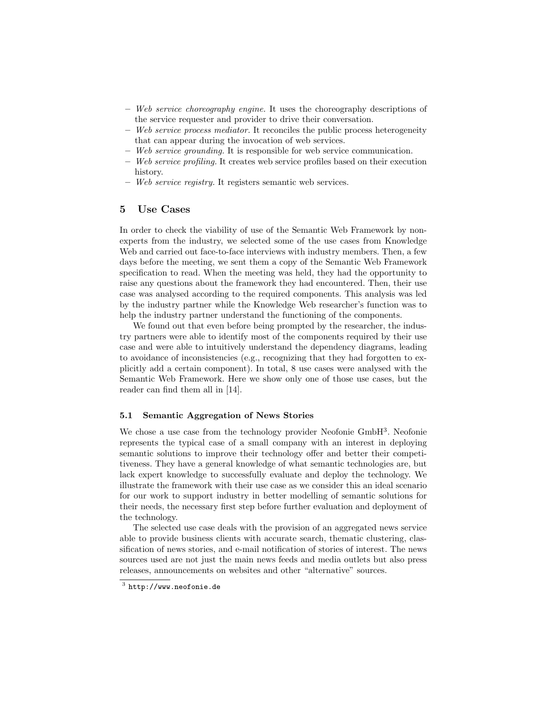- Web service choreography engine. It uses the choreography descriptions of the service requester and provider to drive their conversation.
- $-$  Web service process mediator. It reconciles the public process heterogeneity that can appear during the invocation of web services.
- $-$  Web service grounding. It is responsible for web service communication.
- Web service profiling. It creates web service profiles based on their execution history.
- Web service registry. It registers semantic web services.

## 5 Use Cases

In order to check the viability of use of the Semantic Web Framework by nonexperts from the industry, we selected some of the use cases from Knowledge Web and carried out face-to-face interviews with industry members. Then, a few days before the meeting, we sent them a copy of the Semantic Web Framework specification to read. When the meeting was held, they had the opportunity to raise any questions about the framework they had encountered. Then, their use case was analysed according to the required components. This analysis was led by the industry partner while the Knowledge Web researcher's function was to help the industry partner understand the functioning of the components.

We found out that even before being prompted by the researcher, the industry partners were able to identify most of the components required by their use case and were able to intuitively understand the dependency diagrams, leading to avoidance of inconsistencies (e.g., recognizing that they had forgotten to explicitly add a certain component). In total, 8 use cases were analysed with the Semantic Web Framework. Here we show only one of those use cases, but the reader can find them all in [14].

#### 5.1 Semantic Aggregation of News Stories

We chose a use case from the technology provider Neofonie GmbH<sup>3</sup>. Neofonie represents the typical case of a small company with an interest in deploying semantic solutions to improve their technology offer and better their competitiveness. They have a general knowledge of what semantic technologies are, but lack expert knowledge to successfully evaluate and deploy the technology. We illustrate the framework with their use case as we consider this an ideal scenario for our work to support industry in better modelling of semantic solutions for their needs, the necessary first step before further evaluation and deployment of the technology.

The selected use case deals with the provision of an aggregated news service able to provide business clients with accurate search, thematic clustering, classification of news stories, and e-mail notification of stories of interest. The news sources used are not just the main news feeds and media outlets but also press releases, announcements on websites and other "alternative" sources.

 $^3$  http://www.neofonie.de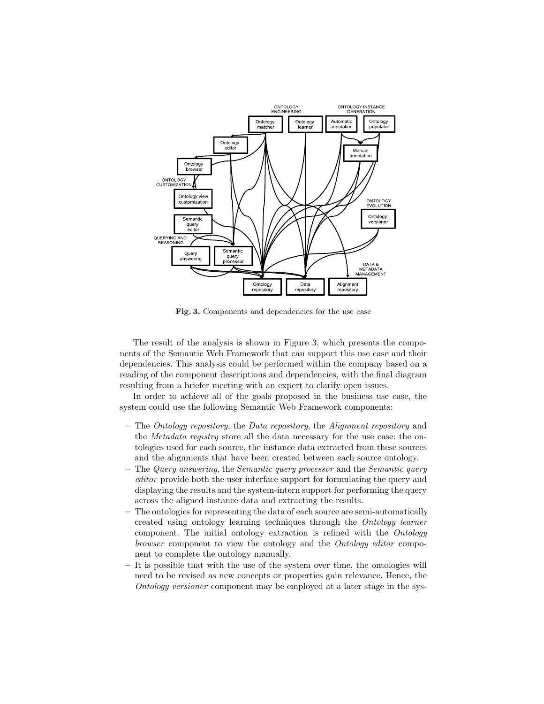

Fig. 3. Components and dependencies for the use case

The result of the analysis is shown in Figure 3, which presents the components of the Semantic Web Framework that can support this use case and their dependencies. This analysis could be performed within the company based on a reading of the component descriptions and dependencies, with the final diagram resulting from a briefer meeting with an expert to clarify open issues.

In order to achieve all of the goals proposed in the business use case, the system could use the following Semantic Web Framework components:

- The Ontology repository, the Data repository, the Alignment repository and the Metadata registry store all the data necessary for the use case: the ontologies used for each source, the instance data extracted from these sources and the alignments that have been created between each source ontology.
- The Query answering, the Semantic query processor and the Semantic query editor provide both the user interface support for formulating the query and displaying the results and the system-intern support for performing the query across the aligned instance data and extracting the results.
- The ontologies for representing the data of each source are semi-automatically created using ontology learning techniques through the Ontology learner component. The initial ontology extraction is refined with the Ontology browser component to view the ontology and the Ontology editor component to complete the ontology manually.
- It is possible that with the use of the system over time, the ontologies will need to be revised as new concepts or properties gain relevance. Hence, the Ontology versioner component may be employed at a later stage in the sys-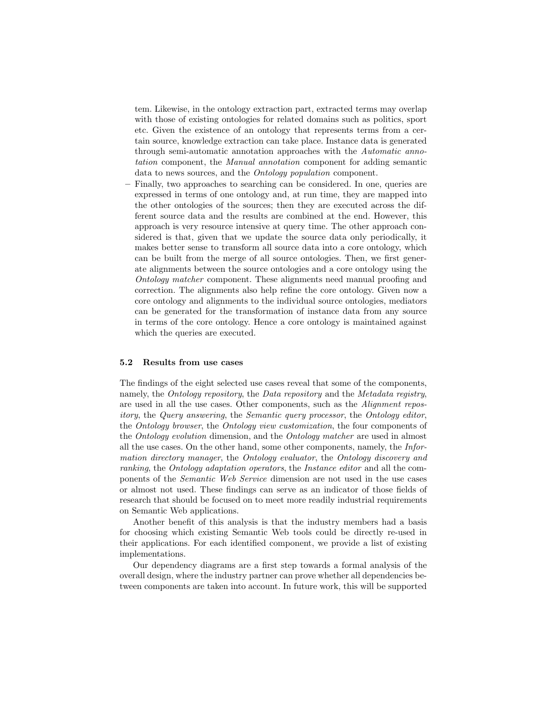tem. Likewise, in the ontology extraction part, extracted terms may overlap with those of existing ontologies for related domains such as politics, sport etc. Given the existence of an ontology that represents terms from a certain source, knowledge extraction can take place. Instance data is generated through semi-automatic annotation approaches with the Automatic annotation component, the Manual annotation component for adding semantic data to news sources, and the Ontology population component.

– Finally, two approaches to searching can be considered. In one, queries are expressed in terms of one ontology and, at run time, they are mapped into the other ontologies of the sources; then they are executed across the different source data and the results are combined at the end. However, this approach is very resource intensive at query time. The other approach considered is that, given that we update the source data only periodically, it makes better sense to transform all source data into a core ontology, which can be built from the merge of all source ontologies. Then, we first generate alignments between the source ontologies and a core ontology using the Ontology matcher component. These alignments need manual proofing and correction. The alignments also help refine the core ontology. Given now a core ontology and alignments to the individual source ontologies, mediators can be generated for the transformation of instance data from any source in terms of the core ontology. Hence a core ontology is maintained against which the queries are executed.

#### 5.2 Results from use cases

The findings of the eight selected use cases reveal that some of the components, namely, the *Ontology repository*, the *Data repository* and the *Metadata registry*, are used in all the use cases. Other components, such as the Alignment repository, the Query answering, the Semantic query processor, the Ontology editor, the Ontology browser, the Ontology view customization, the four components of the Ontology evolution dimension, and the Ontology matcher are used in almost all the use cases. On the other hand, some other components, namely, the Information directory manager, the Ontology evaluator, the Ontology discovery and ranking, the Ontology adaptation operators, the Instance editor and all the components of the Semantic Web Service dimension are not used in the use cases or almost not used. These findings can serve as an indicator of those fields of research that should be focused on to meet more readily industrial requirements on Semantic Web applications.

Another benefit of this analysis is that the industry members had a basis for choosing which existing Semantic Web tools could be directly re-used in their applications. For each identified component, we provide a list of existing implementations.

Our dependency diagrams are a first step towards a formal analysis of the overall design, where the industry partner can prove whether all dependencies between components are taken into account. In future work, this will be supported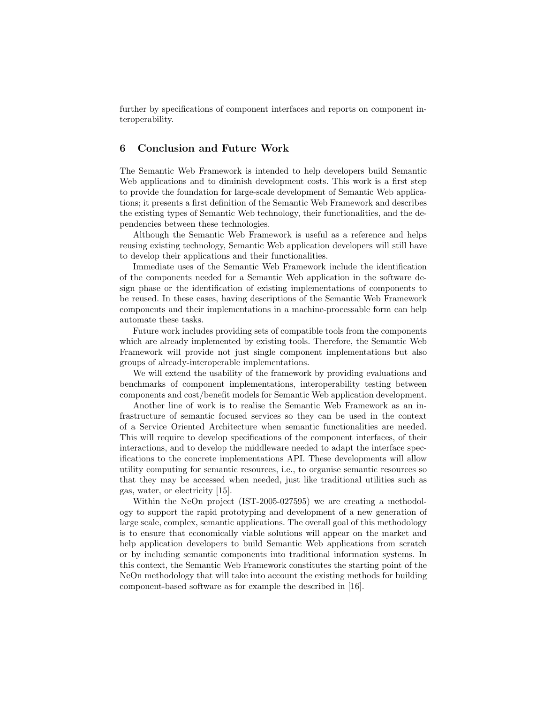further by specifications of component interfaces and reports on component interoperability.

# 6 Conclusion and Future Work

The Semantic Web Framework is intended to help developers build Semantic Web applications and to diminish development costs. This work is a first step to provide the foundation for large-scale development of Semantic Web applications; it presents a first definition of the Semantic Web Framework and describes the existing types of Semantic Web technology, their functionalities, and the dependencies between these technologies.

Although the Semantic Web Framework is useful as a reference and helps reusing existing technology, Semantic Web application developers will still have to develop their applications and their functionalities.

Immediate uses of the Semantic Web Framework include the identification of the components needed for a Semantic Web application in the software design phase or the identification of existing implementations of components to be reused. In these cases, having descriptions of the Semantic Web Framework components and their implementations in a machine-processable form can help automate these tasks.

Future work includes providing sets of compatible tools from the components which are already implemented by existing tools. Therefore, the Semantic Web Framework will provide not just single component implementations but also groups of already-interoperable implementations.

We will extend the usability of the framework by providing evaluations and benchmarks of component implementations, interoperability testing between components and cost/benefit models for Semantic Web application development.

Another line of work is to realise the Semantic Web Framework as an infrastructure of semantic focused services so they can be used in the context of a Service Oriented Architecture when semantic functionalities are needed. This will require to develop specifications of the component interfaces, of their interactions, and to develop the middleware needed to adapt the interface specifications to the concrete implementations API. These developments will allow utility computing for semantic resources, i.e., to organise semantic resources so that they may be accessed when needed, just like traditional utilities such as gas, water, or electricity [15].

Within the NeOn project (IST-2005-027595) we are creating a methodology to support the rapid prototyping and development of a new generation of large scale, complex, semantic applications. The overall goal of this methodology is to ensure that economically viable solutions will appear on the market and help application developers to build Semantic Web applications from scratch or by including semantic components into traditional information systems. In this context, the Semantic Web Framework constitutes the starting point of the NeOn methodology that will take into account the existing methods for building component-based software as for example the described in [16].